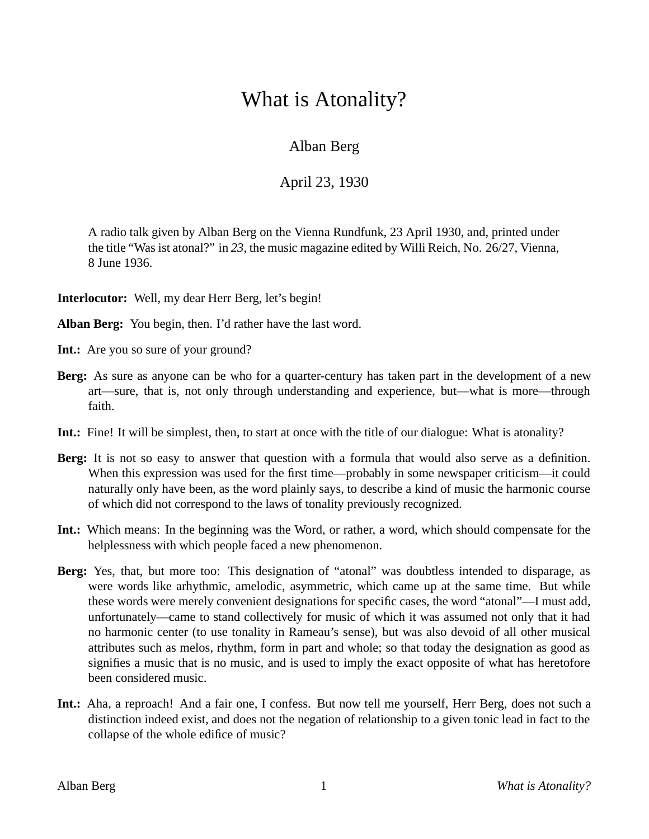## What is Atonality?

## Alban Berg

## April 23, 1930

A radio talk given by Alban Berg on the Vienna Rundfunk, 23 April 1930, and, printed under the title "Was ist atonal?" in *23*, the music magazine edited by Willi Reich, No. 26/27, Vienna, 8 June 1936.

**Interlocutor:** Well, my dear Herr Berg, let's begin!

**Alban Berg:** You begin, then. I'd rather have the last word.

- **Int.:** Are you so sure of your ground?
- **Berg:** As sure as anyone can be who for a quarter-century has taken part in the development of a new art—sure, that is, not only through understanding and experience, but—what is more—through faith.
- **Int.:** Fine! It will be simplest, then, to start at once with the title of our dialogue: What is atonality?
- **Berg:** It is not so easy to answer that question with a formula that would also serve as a definition. When this expression was used for the first time—probably in some newspaper criticism—it could naturally only have been, as the word plainly says, to describe a kind of music the harmonic course of which did not correspond to the laws of tonality previously recognized.
- **Int.:** Which means: In the beginning was the Word, or rather, a word, which should compensate for the helplessness with which people faced a new phenomenon.
- **Berg:** Yes, that, but more too: This designation of "atonal" was doubtless intended to disparage, as were words like arhythmic, amelodic, asymmetric, which came up at the same time. But while these words were merely convenient designations for specific cases, the word "atonal"—I must add, unfortunately—came to stand collectively for music of which it was assumed not only that it had no harmonic center (to use tonality in Rameau's sense), but was also devoid of all other musical attributes such as melos, rhythm, form in part and whole; so that today the designation as good as signifies a music that is no music, and is used to imply the exact opposite of what has heretofore been considered music.
- **Int.:** Aha, a reproach! And a fair one, I confess. But now tell me yourself, Herr Berg, does not such a distinction indeed exist, and does not the negation of relationship to a given tonic lead in fact to the collapse of the whole edifice of music?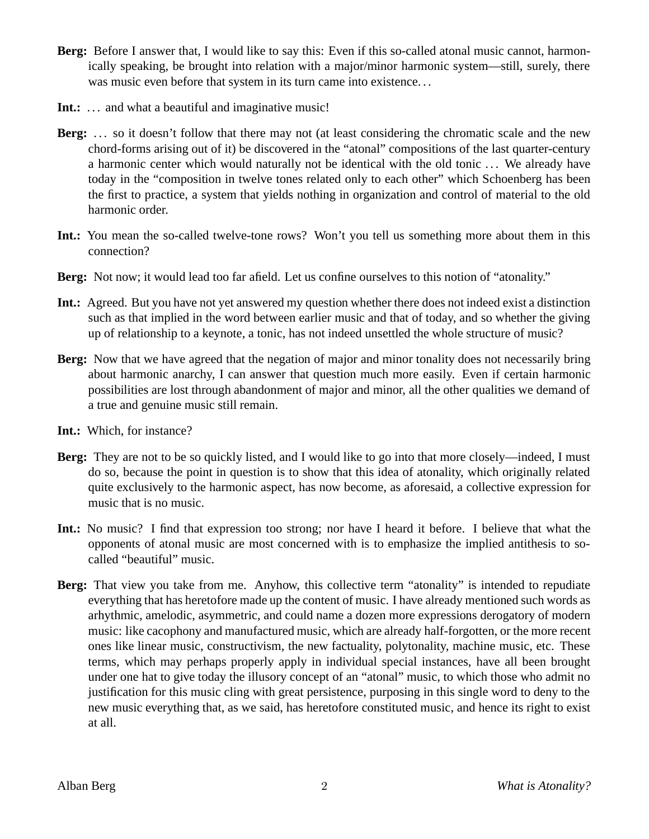- **Berg:** Before I answer that, I would like to say this: Even if this so-called atonal music cannot, harmonically speaking, be brought into relation with a major/minor harmonic system—still, surely, there was music even before that system in its turn came into existence. . .
- **Int.:** ... and what a beautiful and imaginative music!
- **Berg:** ... so it doesn't follow that there may not (at least considering the chromatic scale and the new chord-forms arising out of it) be discovered in the "atonal" compositions of the last quarter-century a harmonic center which would naturally not be identical with the old tonic . . . We already have today in the "composition in twelve tones related only to each other" which Schoenberg has been the first to practice, a system that yields nothing in organization and control of material to the old harmonic order.
- **Int.:** You mean the so-called twelve-tone rows? Won't you tell us something more about them in this connection?
- **Berg:** Not now; it would lead too far afield. Let us confine ourselves to this notion of "atonality."
- **Int.:** Agreed. But you have not yet answered my question whether there does not indeed exist a distinction such as that implied in the word between earlier music and that of today, and so whether the giving up of relationship to a keynote, a tonic, has not indeed unsettled the whole structure of music?
- **Berg:** Now that we have agreed that the negation of major and minor tonality does not necessarily bring about harmonic anarchy, I can answer that question much more easily. Even if certain harmonic possibilities are lost through abandonment of major and minor, all the other qualities we demand of a true and genuine music still remain.
- **Int.:** Which, for instance?
- **Berg:** They are not to be so quickly listed, and I would like to go into that more closely—indeed, I must do so, because the point in question is to show that this idea of atonality, which originally related quite exclusively to the harmonic aspect, has now become, as aforesaid, a collective expression for music that is no music.
- **Int.:** No music? I find that expression too strong; nor have I heard it before. I believe that what the opponents of atonal music are most concerned with is to emphasize the implied antithesis to socalled "beautiful" music.
- **Berg:** That view you take from me. Anyhow, this collective term "atonality" is intended to repudiate everything that has heretofore made up the content of music. I have already mentioned such words as arhythmic, amelodic, asymmetric, and could name a dozen more expressions derogatory of modern music: like cacophony and manufactured music, which are already half-forgotten, or the more recent ones like linear music, constructivism, the new factuality, polytonality, machine music, etc. These terms, which may perhaps properly apply in individual special instances, have all been brought under one hat to give today the illusory concept of an "atonal" music, to which those who admit no justification for this music cling with great persistence, purposing in this single word to deny to the new music everything that, as we said, has heretofore constituted music, and hence its right to exist at all.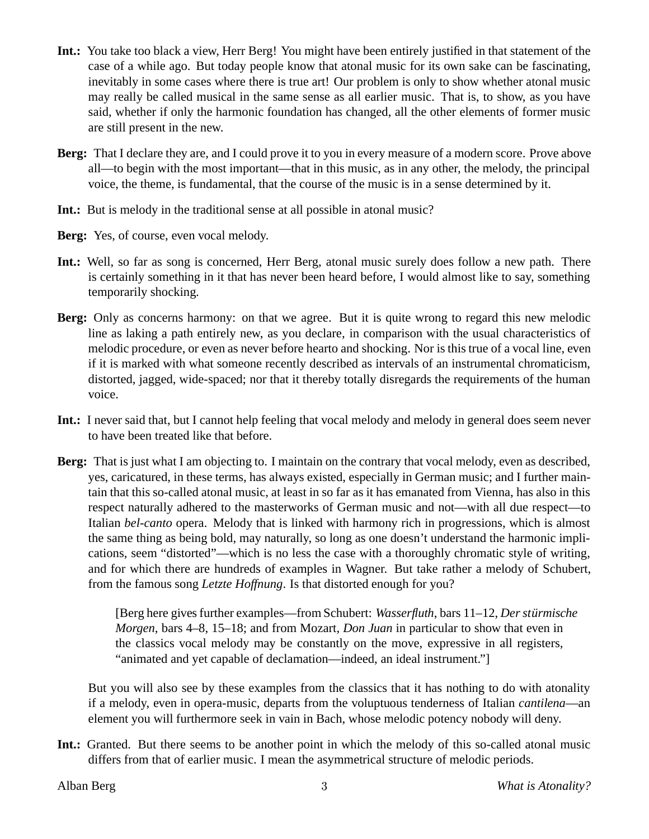- **Int.:** You take too black a view, Herr Berg! You might have been entirely justified in that statement of the case of a while ago. But today people know that atonal music for its own sake can be fascinating, inevitably in some cases where there is true art! Our problem is only to show whether atonal music may really be called musical in the same sense as all earlier music. That is, to show, as you have said, whether if only the harmonic foundation has changed, all the other elements of former music are still present in the new.
- **Berg:** That I declare they are, and I could prove it to you in every measure of a modern score. Prove above all—to begin with the most important—that in this music, as in any other, the melody, the principal voice, the theme, is fundamental, that the course of the music is in a sense determined by it.
- **Int.:** But is melody in the traditional sense at all possible in atonal music?
- **Berg:** Yes, of course, even vocal melody.
- **Int.:** Well, so far as song is concerned, Herr Berg, atonal music surely does follow a new path. There is certainly something in it that has never been heard before, I would almost like to say, something temporarily shocking.
- **Berg:** Only as concerns harmony: on that we agree. But it is quite wrong to regard this new melodic line as laking a path entirely new, as you declare, in comparison with the usual characteristics of melodic procedure, or even as never before hearto and shocking. Nor is this true of a vocal line, even if it is marked with what someone recently described as intervals of an instrumental chromaticism, distorted, jagged, wide-spaced; nor that it thereby totally disregards the requirements of the human voice.
- **Int.:** I never said that, but I cannot help feeling that vocal melody and melody in general does seem never to have been treated like that before.
- **Berg:** That is just what I am objecting to. I maintain on the contrary that vocal melody, even as described, yes, caricatured, in these terms, has always existed, especially in German music; and I further maintain that this so-called atonal music, at least in so far as it has emanated from Vienna, has also in this respect naturally adhered to the masterworks of German music and not—with all due respect—to Italian *bel-canto* opera. Melody that is linked with harmony rich in progressions, which is almost the same thing as being bold, may naturally, so long as one doesn't understand the harmonic implications, seem "distorted"—which is no less the case with a thoroughly chromatic style of writing, and for which there are hundreds of examples in Wagner. But take rather a melody of Schubert, from the famous song *Letzte Hoffnung*. Is that distorted enough for you?

[Berg here gives further examples—from Schubert: *Wasserfluth*, bars 11–12, *Der stürmische Morgen*, bars 4–8, 15–18; and from Mozart, *Don Juan* in particular to show that even in the classics vocal melody may be constantly on the move, expressive in all registers, "animated and yet capable of declamation—indeed, an ideal instrument."]

But you will also see by these examples from the classics that it has nothing to do with atonality if a melody, even in opera-music, departs from the voluptuous tenderness of Italian *cantilena*—an element you will furthermore seek in vain in Bach, whose melodic potency nobody will deny.

**Int.:** Granted. But there seems to be another point in which the melody of this so-called atonal music differs from that of earlier music. I mean the asymmetrical structure of melodic periods.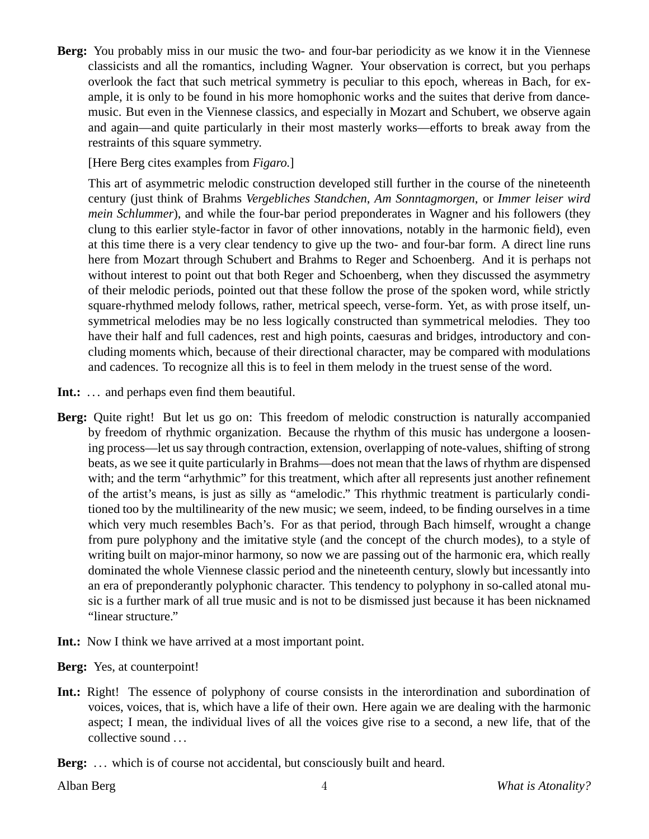**Berg:** You probably miss in our music the two- and four-bar periodicity as we know it in the Viennese classicists and all the romantics, including Wagner. Your observation is correct, but you perhaps overlook the fact that such metrical symmetry is peculiar to this epoch, whereas in Bach, for example, it is only to be found in his more homophonic works and the suites that derive from dancemusic. But even in the Viennese classics, and especially in Mozart and Schubert, we observe again and again—and quite particularly in their most masterly works—efforts to break away from the restraints of this square symmetry.

## [Here Berg cites examples from *Figaro*.]

This art of asymmetric melodic construction developed still further in the course of the nineteenth century (just think of Brahms *Vergebliches Standchen*, *Am Sonntagmorgen*, or *Immer leiser wird mein Schlummer*), and while the four-bar period preponderates in Wagner and his followers (they clung to this earlier style-factor in favor of other innovations, notably in the harmonic field), even at this time there is a very clear tendency to give up the two- and four-bar form. A direct line runs here from Mozart through Schubert and Brahms to Reger and Schoenberg. And it is perhaps not without interest to point out that both Reger and Schoenberg, when they discussed the asymmetry of their melodic periods, pointed out that these follow the prose of the spoken word, while strictly square-rhythmed melody follows, rather, metrical speech, verse-form. Yet, as with prose itself, unsymmetrical melodies may be no less logically constructed than symmetrical melodies. They too have their half and full cadences, rest and high points, caesuras and bridges, introductory and concluding moments which, because of their directional character, may be compared with modulations and cadences. To recognize all this is to feel in them melody in the truest sense of the word.

- **Int.:** ... and perhaps even find them beautiful.
- **Berg:** Quite right! But let us go on: This freedom of melodic construction is naturally accompanied by freedom of rhythmic organization. Because the rhythm of this music has undergone a loosening process—let us say through contraction, extension, overlapping of note-values, shifting of strong beats, as we see it quite particularly in Brahms—does not mean that the laws of rhythm are dispensed with; and the term "arhythmic" for this treatment, which after all represents just another refinement of the artist's means, is just as silly as "amelodic." This rhythmic treatment is particularly conditioned too by the multilinearity of the new music; we seem, indeed, to be finding ourselves in a time which very much resembles Bach's. For as that period, through Bach himself, wrought a change from pure polyphony and the imitative style (and the concept of the church modes), to a style of writing built on major-minor harmony, so now we are passing out of the harmonic era, which really dominated the whole Viennese classic period and the nineteenth century, slowly but incessantly into an era of preponderantly polyphonic character. This tendency to polyphony in so-called atonal music is a further mark of all true music and is not to be dismissed just because it has been nicknamed "linear structure."
- **Int.:** Now I think we have arrived at a most important point.
- **Berg:** Yes, at counterpoint!
- **Int.:** Right! The essence of polyphony of course consists in the interordination and subordination of voices, voices, that is, which have a life of their own. Here again we are dealing with the harmonic aspect; I mean, the individual lives of all the voices give rise to a second, a new life, that of the collective sound . . .

**Berg:** ... which is of course not accidental, but consciously built and heard.